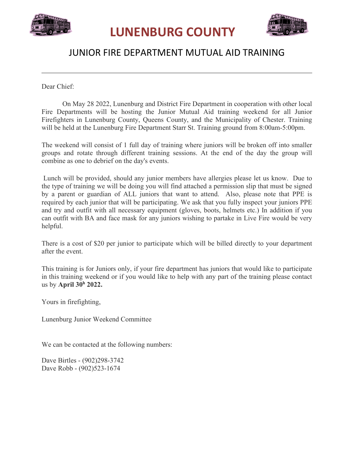



## JUNIOR FIRE DEPARTMENT MUTUAL AID TRAINING

Dear Chief:

On May 28 2022, Lunenburg and District Fire Department in cooperation with other local Fire Departments will be hosting the Junior Mutual Aid training weekend for all Junior Firefighters in Lunenburg County, Queens County, and the Municipality of Chester. Training will be held at the Lunenburg Fire Department Starr St. Training ground from 8:00am-5:00pm.

The weekend will consist of 1 full day of training where juniors will be broken off into smaller groups and rotate through different training sessions. At the end of the day the group will combine as one to debrief on the day's events.

Lunch will be provided, should any junior members have allergies please let us know. Due to the type of training we will be doing you will find attached a permission slip that must be signed by a parent or guardian of ALL juniors that want to attend. Also, please note that PPE is required by each junior that will be participating. We ask that you fully inspect your juniors PPE and try and outfit with all necessary equipment (gloves, boots, helmets etc.) In addition if you can outfit with BA and face mask for any juniors wishing to partake in Live Fire would be very helpful.

There is a cost of \$20 per junior to participate which will be billed directly to your department after the event.

This training is for Juniors only, if your fire department has juniors that would like to participate in this training weekend or if you would like to help with any part of the training please contact us by **April 30 <sup>h</sup> 2022.**

Yours in firefighting,

Lunenburg Junior Weekend Committee

We can be contacted at the following numbers:

Dave Birtles - (902)298-3742 Dave Robb - (902)523-1674